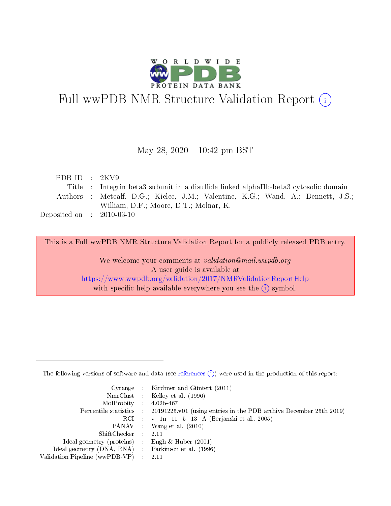

# Full wwPDB NMR Structure Validation Report (i)

## May 28,  $2020 - 10:42$  pm BST

| PDB ID : $2KV9$                      |                                                                                      |
|--------------------------------------|--------------------------------------------------------------------------------------|
|                                      | Title : Integrin beta3 subunit in a disulfide linked alphaIIb-beta3 cytosolic domain |
|                                      | Authors : Metcalf, D.G.; Kielec, J.M.; Valentine, K.G.; Wand, A.; Bennett, J.S.;     |
|                                      | William, D.F.; Moore, D.T.; Molnar, K.                                               |
| Deposited on $\therefore$ 2010-03-10 |                                                                                      |
|                                      |                                                                                      |

This is a Full wwPDB NMR Structure Validation Report for a publicly released PDB entry.

We welcome your comments at validation@mail.wwpdb.org A user guide is available at <https://www.wwpdb.org/validation/2017/NMRValidationReportHelp> with specific help available everywhere you see the  $(i)$  symbol.

The following versions of software and data (see [references](https://www.wwpdb.org/validation/2017/NMRValidationReportHelp#references)  $(1)$ ) were used in the production of this report:

|                                                     | Cyrange : Kirchner and Güntert (2011)                                                      |
|-----------------------------------------------------|--------------------------------------------------------------------------------------------|
|                                                     | NmrClust : Kelley et al. (1996)                                                            |
| $MolProbability$ 4.02b-467                          |                                                                                            |
|                                                     | Percentile statistics : 20191225.v01 (using entries in the PDB archive December 25th 2019) |
|                                                     | RCI : v 1n 11 5 13 A (Berjanski et al., 2005)                                              |
|                                                     | PANAV : Wang et al. (2010)                                                                 |
| $ShiftChecker$ : 2.11                               |                                                                                            |
| Ideal geometry (proteins) : Engh $\&$ Huber (2001)  |                                                                                            |
| Ideal geometry (DNA, RNA) : Parkinson et al. (1996) |                                                                                            |
| Validation Pipeline (wwPDB-VP)                      | - 2.11                                                                                     |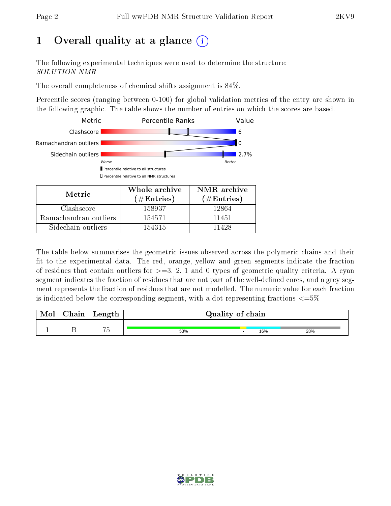# 1 [O](https://www.wwpdb.org/validation/2017/NMRValidationReportHelp#overall_quality)verall quality at a glance (i)

The following experimental techniques were used to determine the structure: SOLUTION NMR

The overall completeness of chemical shifts assignment is 84%.

Percentile scores (ranging between 0-100) for global validation metrics of the entry are shown in the following graphic. The table shows the number of entries on which the scores are based.



Sidechain outliers  $\vert$  154315 11428

The table below summarises the geometric issues observed across the polymeric chains and their fit to the experimental data. The red, orange, yellow and green segments indicate the fraction of residues that contain outliers for  $>=3, 2, 1$  and 0 types of geometric quality criteria. A cyan segment indicates the fraction of residues that are not part of the well-defined cores, and a grey segment represents the fraction of residues that are not modelled. The numeric value for each fraction is indicated below the corresponding segment, with a dot representing fractions  $\epsilon = 5\%$ 

| <b>NIOI</b> | Chain | Length                      | Quality of chain |     |     |
|-------------|-------|-----------------------------|------------------|-----|-----|
|             |       | $\rightarrow$ $\rightarrow$ | 53%              | 16% | 28% |

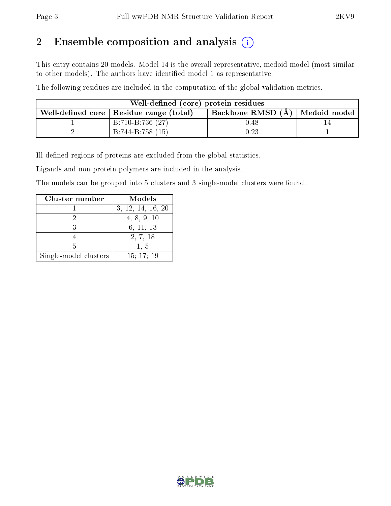# 2 Ensemble composition and analysis  $(i)$

This entry contains 20 models. Model 14 is the overall representative, medoid model (most similar to other models). The authors have identified model 1 as representative.

The following residues are included in the computation of the global validation metrics.

| Well-defined (core) protein residues |                                           |                                  |  |  |  |  |
|--------------------------------------|-------------------------------------------|----------------------------------|--|--|--|--|
|                                      | Well-defined core   Residue range (total) | Backbone RMSD (A)   Medoid model |  |  |  |  |
|                                      | B:710-B:736 (27)                          | 0.48                             |  |  |  |  |
|                                      | $B:744-B:758(15)$                         | $\rm 0.23$                       |  |  |  |  |

Ill-defined regions of proteins are excluded from the global statistics.

Ligands and non-protein polymers are included in the analysis.

The models can be grouped into 5 clusters and 3 single-model clusters were found.

| Cluster number        | Models            |
|-----------------------|-------------------|
|                       | 3, 12, 14, 16, 20 |
|                       | 4, 8, 9, 10       |
|                       | 6, 11, 13         |
|                       | 2, 7, 18          |
| 5                     | 1, 5              |
| Single-model clusters | 15; 17; 19        |

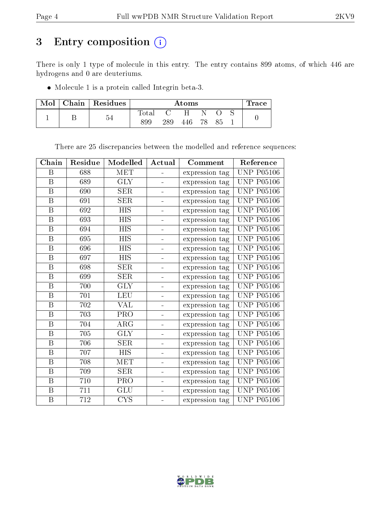# 3 Entry composition (i)

There is only 1 type of molecule in this entry. The entry contains 899 atoms, of which 446 are hydrogens and 0 are deuteriums.

Molecule 1 is a protein called Integrin beta-3.

| $\bf{Mol} \parallel$ | $\mid$ Chain $\mid$ Residues | $\rm{Atoms}$   |     |     |     |  | $\operatorname{Trace}$ |  |
|----------------------|------------------------------|----------------|-----|-----|-----|--|------------------------|--|
|                      | n                            | $_{\rm Total}$ |     | H   |     |  |                        |  |
|                      |                              | 899            | 289 | 446 | 78. |  |                        |  |

There are 25 discrepancies between the modelled and reference sequences:

| Chain                   | Residue | Modelled   | Actual                   | Comment        | Reference         |
|-------------------------|---------|------------|--------------------------|----------------|-------------------|
| B                       | 688     | MET        |                          | expression tag | <b>UNP P05106</b> |
| $\overline{\mathbf{B}}$ | 689     | <b>GLY</b> | $\overline{\phantom{0}}$ | expression tag | <b>UNP P05106</b> |
| $\, {\bf B}$            | 690     | <b>SER</b> | ÷                        | expression tag | <b>UNP P05106</b> |
| $\, {\bf B}$            | 691     | <b>SER</b> | $\blacksquare$           | expression tag | <b>UNP P05106</b> |
| $\, {\bf B}$            | 692     | <b>HIS</b> |                          | expression tag | <b>UNP P05106</b> |
| B                       | 693     | <b>HIS</b> | ÷.                       | expression tag | <b>UNP P05106</b> |
| $\boldsymbol{B}$        | 694     | <b>HIS</b> | ÷,                       | expression tag | <b>UNP P05106</b> |
| $\, {\bf B}$            | 695     | <b>HIS</b> | ÷                        | expression tag | <b>UNP P05106</b> |
| $\, {\bf B}$            | 696     | <b>HIS</b> | $\overline{\phantom{0}}$ | expression tag | <b>UNP P05106</b> |
| B                       | 697     | <b>HIS</b> | $\blacksquare$           | expression tag | <b>UNP P05106</b> |
| $\, {\bf B}$            | 698     | <b>SER</b> | ÷,                       | expression tag | <b>UNP P05106</b> |
| $\, {\bf B}$            | 699     | <b>SER</b> | $\blacksquare$           | expression tag | <b>UNP P05106</b> |
| $\boldsymbol{B}$        | 700     | <b>GLY</b> | ÷,                       | expression tag | <b>UNP P05106</b> |
| $\boldsymbol{B}$        | 701     | <b>LEU</b> | ÷                        | expression tag | <b>UNP P05106</b> |
| $\, {\bf B}$            | 702     | <b>VAL</b> | ÷                        | expression tag | <b>UNP P05106</b> |
| $\, {\bf B}$            | 703     | PRO        | 4                        | expression tag | <b>UNP P05106</b> |
| $\overline{B}$          | 704     | ARG        | ÷                        | expression tag | <b>UNP P05106</b> |
| $\, {\bf B}$            | 705     | <b>GLY</b> | ÷                        | expression tag | <b>UNP P05106</b> |
| $\, {\bf B}$            | 706     | <b>SER</b> | ÷                        | expression tag | <b>UNP P05106</b> |
| $\, {\bf B}$            | 707     | <b>HIS</b> | $\frac{1}{2}$            | expression tag | <b>UNP P05106</b> |
| $\, {\bf B}$            | 708     | MET        |                          | expression tag | <b>UNP P05106</b> |
| $\boldsymbol{B}$        | 709     | <b>SER</b> | ÷                        | expression tag | <b>UNP P05106</b> |
| $\, {\bf B}$            | 710     | PRO        |                          | expression tag | <b>UNP P05106</b> |
| $\, {\bf B}$            | 711     | GLU        | ÷                        | expression tag | <b>UNP P05106</b> |
| $\, {\bf B}$            | 712     | <b>CYS</b> | $\overline{\phantom{0}}$ | expression tag | <b>UNP P05106</b> |

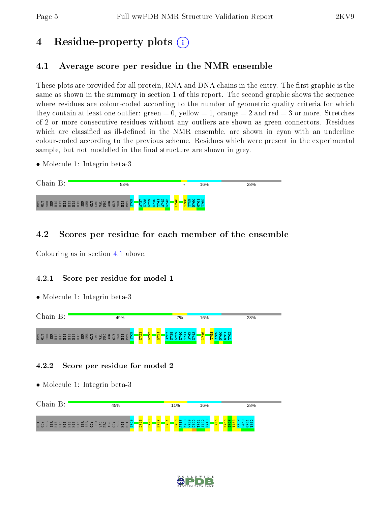# 4 Residue-property plots  $\binom{1}{1}$

# <span id="page-4-0"></span>4.1 Average score per residue in the NMR ensemble

These plots are provided for all protein, RNA and DNA chains in the entry. The first graphic is the same as shown in the summary in section 1 of this report. The second graphic shows the sequence where residues are colour-coded according to the number of geometric quality criteria for which they contain at least one outlier: green  $= 0$ , yellow  $= 1$ , orange  $= 2$  and red  $= 3$  or more. Stretches of 2 or more consecutive residues without any outliers are shown as green connectors. Residues which are classified as ill-defined in the NMR ensemble, are shown in cyan with an underline colour-coded according to the previous scheme. Residues which were present in the experimental sample, but not modelled in the final structure are shown in grey.

• Molecule 1: Integrin beta-3

| Chain                      | 53%    |             | 28%<br>16% |  |
|----------------------------|--------|-------------|------------|--|
| VTD<br>CE Y<br>噕<br>E<br>금 | တ<br>覚 | ₩<br>-<br>₩ |            |  |

# 4.2 Scores per residue for each member of the ensemble

Colouring as in section [4.1](#page-4-0) above.

## 4.2.1 Score per residue for model 1

• Molecule 1: Integrin beta-3



## 4.2.2 Score per residue for model 2



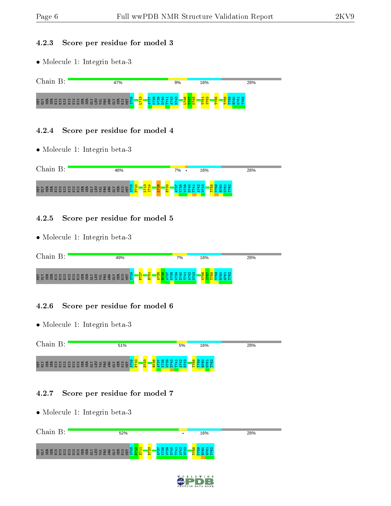## 4.2.3 Score per residue for model 3

• Molecule 1: Integrin beta-3



# 4.2.4 Score per residue for model 4

• Molecule 1: Integrin beta-3



# 4.2.5 Score per residue for model 5

• Molecule 1: Integrin beta-3

| Chain | 49% |                                             | 7%                                                     | 16%                                                            | 28% |
|-------|-----|---------------------------------------------|--------------------------------------------------------|----------------------------------------------------------------|-----|
|       |     | <b>IQ</b><br>$\infty$<br>$\sim$<br>ത<br>Ĩъ. | <b>NM</b><br>െ<br>$\circ$<br>⊣<br>ਰ ਰ<br>-ਗਰ<br>ന<br>▽ | $\rightarrow$ $\sim$<br>ю<br>e.<br>$\alpha$ $\alpha$ $\mapsto$ |     |

# 4.2.6 Score per residue for model 6

• Molecule 1: Integrin beta-3

| Chain | 51%                                                                             | 5%                                        | 16%                                                               | 28% |
|-------|---------------------------------------------------------------------------------|-------------------------------------------|-------------------------------------------------------------------|-----|
|       | $\mathbf{\alpha}$<br><b>ē</b> šē te sa sa sa sa sā sā sa sa sa sa sa sa sa<br>Β | ് സ<br>ີ<br>ਚ<br>÷<br>$\sim$<br>- 64<br>. | $\mathbf{\pi}$ $\alpha$<br>$\omega$ $\omega$<br><u>ഗ ഗ</u><br>ີເດ |     |

# 4.2.7 Score per residue for model 7

| Chain B:                         | 52%                                                 |                                                                       | 16%                                               | 28% |
|----------------------------------|-----------------------------------------------------|-----------------------------------------------------------------------|---------------------------------------------------|-----|
| 更空窗窗 用品 用品 用程 单目 自 马 马 医 是 空 窗 间 | 8 <mark>부분</mark><br>$\frac{8}{2}$<br>厦<br>HІS<br>눉 | ത<br>$\sim$<br>$\mathbf{H}$<br>$\infty$<br>ာ ဝ<br>ē۲<br>ਚਾਂ<br>₩<br>m | $H \alpha$<br>$\infty$ $\infty$<br><b>O</b><br>חו |     |

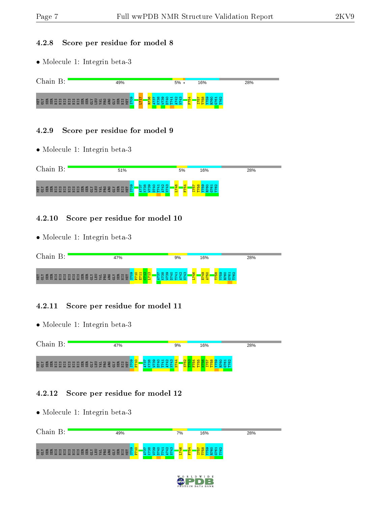#### 4.2.8 Score per residue for model 8

• Molecule 1: Integrin beta-3



#### 4.2.9 Score per residue for model 9

• Molecule 1: Integrin beta-3

| Chain                | 51%                               | 5%<br>16%     | 28% |
|----------------------|-----------------------------------|---------------|-----|
| NTI<br>GEY<br>惡<br>说 | တ<br>$\mathbf{H}$<br>÷<br>₩<br>開幕 | st.<br>ம<br>ю |     |

#### 4.2.10 Score per residue for model 10

• Molecule 1: Integrin beta-3

| Chain | 47%                       | 9%                                          | 16%          | 28% |
|-------|---------------------------|---------------------------------------------|--------------|-----|
|       | $\circ$<br>$\blacksquare$ | $\frac{9}{4}$<br>$\rightarrow$<br>- 68<br>₩ | ₩<br>ŤН<br>œ |     |

## 4.2.11 Score per residue for model 11

• Molecule 1: Integrin beta-3

Chain B: 47% 9% 16% 28% MET GLY SER SER HIS HIS HIS HIS HIS HIS SER SER GLY LEU VAL PRO ARG GLY SER HIS MET S709 P710 A737 K738 W739 D740 A742 N743 N744 S752 T753 F754 T755 N756 I757 T758 Y759 R760 G761 T762 T741

## 4.2.12 Score per residue for model 12

| Chain<br>$\rm B$ : | 49%       | 7%            | 16%        | 28% |
|--------------------|-----------|---------------|------------|-----|
| <b>重复腐腐</b>        | <u>၉၃</u> | $\frac{3}{4}$ | <b>D</b>   |     |
|                    | 回         | ↵             | <u>က က</u> |     |

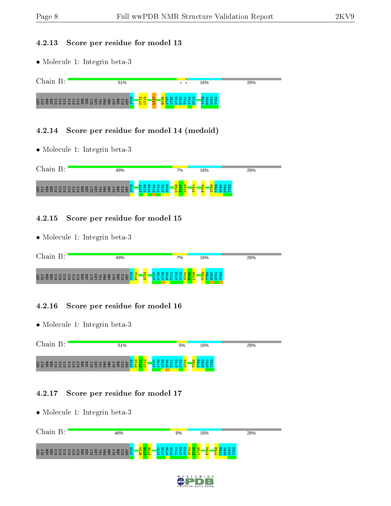#### 4.2.13 Score per residue for model 13

• Molecule 1: Integrin beta-3

| ี่กด<br>.1n                                                 | 51%                                                                                                                   |                           | $\cdot$ $\cdot$ | 16% | 28% |
|-------------------------------------------------------------|-----------------------------------------------------------------------------------------------------------------------|---------------------------|-----------------|-----|-----|
| 百日<br><b>EEE</b><br><b>60</b><br>E<br>힖<br>量<br>量<br>旵<br>黑 | စာ<br><b>O</b><br>н<br>$\sqrt{2}$<br>冒<br>3 B<br>$E_{\rm g}$<br>日夏<br>岛岛<br>$\blacksquare$<br><b>65</b><br>lτο<br>. . | . <mark>역 염</mark> .<br>- |                 |     |     |

#### 4.2.14 Score per residue for model 14 (medoid)

• Molecule 1: Integrin beta-3



#### 4.2.15 Score per residue for model 15

• Molecule 1: Integrin beta-3

| Chain | 19%                                      | 7%           | 16%                                | 28% |
|-------|------------------------------------------|--------------|------------------------------------|-----|
|       | ത<br>$\mathbf{\alpha}$<br>O <sub>1</sub> | $\mathbf{a}$ | $\mathbf{H}$ $\alpha$<br>œ<br>- 66 |     |

## 4.2.16 Score per residue for model 16

• Molecule 1: Integrin beta-3

| Chain                            | 51% | 5%<br>16%    | 28%                  |
|----------------------------------|-----|--------------|----------------------|
| ē še e sasas sasas ar sasas e sa | 'N  | $\mathbf{H}$ | $\rightarrow \infty$ |

## 4.2.17 Score per residue for model 17

| Chain<br>B:                                     | 48%      | 8%     | 16%       | 28%       |
|-------------------------------------------------|----------|--------|-----------|-----------|
| 医豆腐<br><b>BBBBBBBBBBBBBB</b><br>SE <sub>E</sub> | 탈용<br>窗台 | ÷<br>₩ | io.<br>ř. | <b>CO</b> |

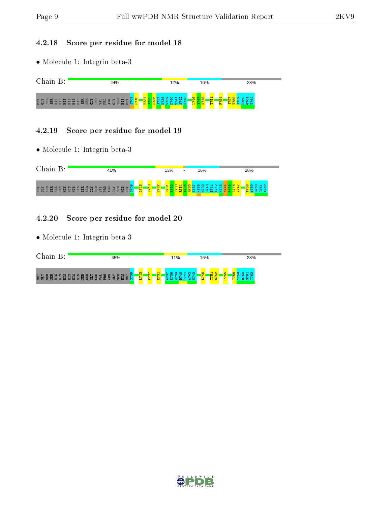#### 4.2.18 Score per residue for model 18

• Molecule 1: Integrin beta-3



#### 4.2.19 Score per residue for model 19

• Molecule 1: Integrin beta-3



### 4.2.20 Score per residue for model 20

| Chain                      | 45%      |                                               | 11%                                          | 16%                                                                         | 28%                                                |
|----------------------------|----------|-----------------------------------------------|----------------------------------------------|-----------------------------------------------------------------------------|----------------------------------------------------|
| NET<br>GLY<br>엺<br>여<br>恩恩 | $\sigma$ | $\frac{1}{2}$<br>က<br>$\sim$<br>A<br>Ř.<br>E. | ന<br><b>Refi</b><br>ന<br>ਜ<br>÷<br>ਾਵਾਂ<br>e | $\mathbf{\alpha}$<br>G<br>⊣<br>G.<br><u> က က</u><br>F<br>$\mathbf{v}$<br>H. | S.<br>$\rightarrow$ $\sim$<br><b>10</b><br>ິ<br>Ě. |

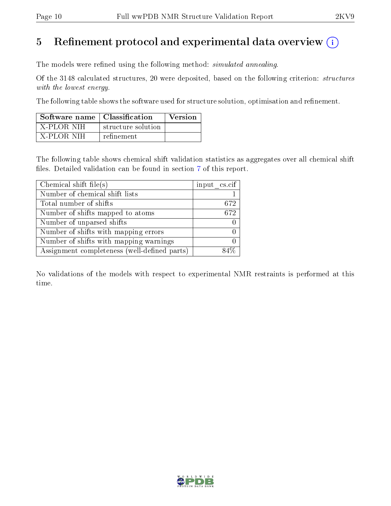# 5 Refinement protocol and experimental data overview  $\binom{1}{k}$

The models were refined using the following method: *simulated annealing*.

Of the 3148 calculated structures, 20 were deposited, based on the following criterion: structures with the lowest energy.

The following table shows the software used for structure solution, optimisation and refinement.

| Software name $\vert$ Classification |                    | Version |
|--------------------------------------|--------------------|---------|
| - X-PLOR NIH                         | structure solution |         |
| - X-PLOR NIH                         | refinement         |         |

The following table shows chemical shift validation statistics as aggregates over all chemical shift files. Detailed validation can be found in section [7](#page-14-0) of this report.

| Chemical shift file(s)                       | input cs.cif |
|----------------------------------------------|--------------|
| Number of chemical shift lists               |              |
| Total number of shifts                       | 672          |
| Number of shifts mapped to atoms             | 672          |
| Number of unparsed shifts                    |              |
| Number of shifts with mapping errors         |              |
| Number of shifts with mapping warnings       |              |
| Assignment completeness (well-defined parts) |              |

No validations of the models with respect to experimental NMR restraints is performed at this time.

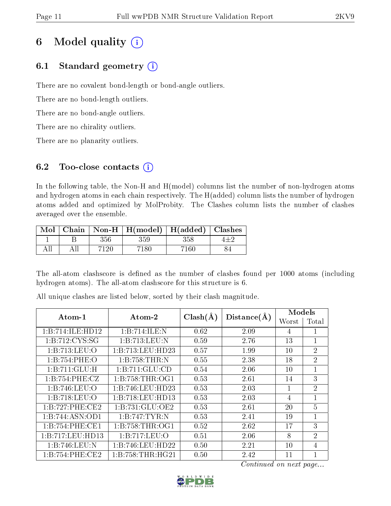# 6 Model quality  $(i)$

# 6.1 Standard geometry  $(i)$

There are no covalent bond-length or bond-angle outliers.

There are no bond-length outliers.

There are no bond-angle outliers.

There are no chirality outliers.

There are no planarity outliers.

# 6.2 Too-close contacts  $(i)$

In the following table, the Non-H and H(model) columns list the number of non-hydrogen atoms and hydrogen atoms in each chain respectively. The H(added) column lists the number of hydrogen atoms added and optimized by MolProbity. The Clashes column lists the number of clashes averaged over the ensemble.

|  |         | Mol   Chain   Non-H   H(model)   H(added)   Clashes |        |  |
|--|---------|-----------------------------------------------------|--------|--|
|  | 356     | 359                                                 | 358    |  |
|  | $-7120$ | 7180 -                                              | 7160 - |  |

The all-atom clashscore is defined as the number of clashes found per 1000 atoms (including hydrogen atoms). The all-atom clashscore for this structure is 6.

| Atom-1              | Atom-2           | $Clash(\AA)$ | Distance(A) | Models |                |
|---------------------|------------------|--------------|-------------|--------|----------------|
|                     |                  |              |             | Worst  | Total          |
| 1:B:714:ILE:HD12    | 1:B:714:ILE:N    | 0.62         | 2.09        | 4      | 1              |
| 1: B: 712: CYS: SG  | 1:B:713:LEU:N    | 0.59         | 2.76        | 13     | $\mathbf{1}$   |
| 1:B:713:LEU:O       | 1:B:713:LEU:HD23 | 0.57         | 1.99        | 10     | $\overline{2}$ |
| 1:B:754:PHE:O       | 1:B:758:THR:N    | 0.55         | 2.38        | 18     | $\overline{2}$ |
| 1:B:711:GLU:H       | 1:B:711:GLU:CD   | 0.54         | 2.06        | 10     | $\mathbf{1}$   |
| 1:B:754:PHE:CZ      | 1:B:758:THR:OG1  | 0.53         | 2.61        | 14     | 3              |
| 1:B:746:LEU:O       | 1:B:746:LEU:HD23 | 0.53         | 2.03        |        | $\overline{2}$ |
| 1:B:718:LEU:O       | 1:B:718:LEU:HD13 | 0.53         | 2.03        | 4      | 1              |
| 1:B:727:PHE:CE2     | 1:B:731:GLU:OE2  | 0.53         | 2.61        | 20     | 5              |
| 1:B:744:ASN:OD1     | 1:B:747:TYR:N    | 0.53         | 2.41        | 19     | $\mathbf{1}$   |
| 1:B:754:PHE:CE1     | 1:B:758:THR:OG1  | 0.52         | 2.62        | 17     | 3              |
| 1:B:717:LEU:HD13    | 1:B:717:LEU:O    | 0.51         | 2.06        | 8      | $\overline{2}$ |
| 1:B:746:LEU:N       | 1:B:746:LEU:HD22 | 0.50         | 2.21        | 10     | $\overline{4}$ |
| 1: B: 754: PHE: CE2 | 1:B:758:THR:HG21 | 0.50         | 2.42        | 11     | 1              |

All unique clashes are listed below, sorted by their clash magnitude.

Continued on next page...

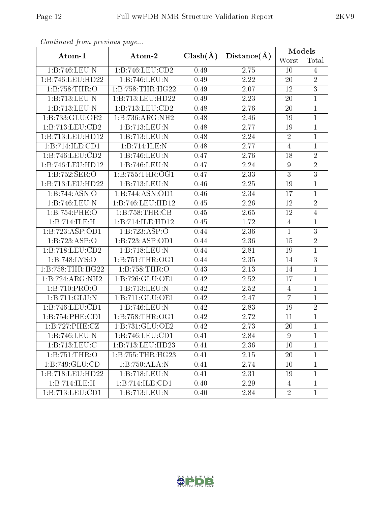| Continuaca from previous page<br>Atom-1 | Atom-2                       | $Clash(\AA)$ | Distance(A) | Models           |                |
|-----------------------------------------|------------------------------|--------------|-------------|------------------|----------------|
|                                         |                              |              |             | Worst            | Total          |
| 1:B:746:LEU:N                           | 1:B:746:LEU:CD2              | 0.49         | 2.75        | 10               | 4              |
| 1:B:746:LEU:HD22                        | 1:B:746:LEU:N                | 0.49         | 2.22        | 20               | $\overline{2}$ |
| 1:B:758:THR:O                           | 1:B:758:THR:HG22             | 0.49         | 2.07        | 12               | $\overline{3}$ |
| 1:B:713:LEU:N                           | 1:B:713:LEU:HD22             | 0.49         | 2.23        | 20               | $\mathbf{1}$   |
| 1:B:713:LEU:N                           | 1:B:713:LEU:CD2              | 0.48         | 2.76        | 20               | $\mathbf{1}$   |
| 1:B:733:GLU:OE2                         | 1:B:736:ARG:NH2              | 0.48         | 2.46        | 19               | $\mathbf{1}$   |
| 1:B:713:LEU:CD2                         | 1:B:713:LEU:N                | 0.48         | 2.77        | 19               | $\mathbf{1}$   |
| 1:B:713:LEU:HD12                        | 1:B:713:LEU:N                | 0.48         | 2.24        | $\overline{2}$   | $\mathbf{1}$   |
| 1:B:714:ILE:CD1                         | 1:B:714:ILE:N                | 0.48         | 2.77        | $\overline{4}$   | $\mathbf{1}$   |
| 1: B: 746: LEU: CD2                     | 1:B:746:LEU:N                | 0.47         | 2.76        | 18               | $\overline{2}$ |
| 1:B:746:LEU:HD12                        | 1:B:746:LEU:N                | 0.47         | 2.24        | $\boldsymbol{9}$ | $\overline{2}$ |
| 1:B:752:SER:O                           | 1: B: 755: THR: OG1          | 0.47         | 2.33        | $\overline{3}$   | $\overline{3}$ |
| 1:B:713:LEU:HD22                        | 1:B:713:LEU:N                | 0.46         | 2.25        | 19               | $\mathbf{1}$   |
| 1:B:744:ASN:O                           | $1:B:744:\overline{ASN:OD1}$ | 0.46         | 2.34        | 17               | $\mathbf{1}$   |
| 1:B:746:LEU:N                           | 1:B:746:LEU:HD12             | 0.45         | 2.26        | 12               | $\overline{2}$ |
| 1:B:754:PHE:O                           | 1: B: 758: THR: CB           | 0.45         | 2.65        | 12               | $\overline{4}$ |
| 1:B:714:ILE:H                           | 1:B:714:ILE:HD12             | 0.45         | 1.72        | $\overline{4}$   | $\mathbf{1}$   |
| 1:B:723:ASP:OD1                         | 1:B:723:ASP:O                | 0.44         | 2.36        | $\mathbf{1}$     | 3              |
| 1:B:723:ASP:O                           | 1:B:723:ASP:OD1              | 0.44         | 2.36        | 15               | $\overline{2}$ |
| 1:B:718:LEU:CD2                         | 1:B:718:LEU:N                | 0.44         | 2.81        | 19               | $\mathbf{1}$   |
| 1:B.748:LYS:O                           | 1: B: 751: THR: OG1          | 0.44         | 2.35        | 14               | 3              |
| 1:B:758:THR:HG22                        | 1:B:758:THR:O                | 0.43         | 2.13        | 14               | $\mathbf{1}$   |
| 1:B:724:ARG:NH2                         | 1:B:726:GLU:OE1              | 0.42         | 2.52        | 17               | $\mathbf{1}$   |
| 1:B:710:PRO:O                           | 1:B:713:LEU:N                | 0.42         | 2.52        | $\overline{4}$   | $\mathbf{1}$   |
| 1:B:711:GLU:N                           | 1:B:711:GLU:OE1              | 0.42         | 2.47        | $\overline{7}$   | $\mathbf{1}$   |
| 1:B:746:LEU:CD1                         | 1:B:746:LEU:N                | 0.42         | 2.83        | 19               | $\overline{2}$ |
| 1: B: 754: PHE: CD1                     | 1:B:758:THR:OG1              | 0.42         | 2.72        | 11               | $\mathbf 1$    |
| 1:B:727:PHE:CZ                          | 1:B:731:GLU:OE2              | 0.42         | 2.73        | 20               | $\mathbf{1}$   |
| 1:B:746:LEU:N                           | 1: B:746: LEU: CD1           | 0.41         | 2.84        | 9                | $\mathbf{1}$   |
| 1:B:713:LEU:C                           | 1:B:713:LEU:HD23             | 0.41         | 2.36        | 10               | $\mathbf{1}$   |
| 1:B:751:THR:O                           | 1: B: 755: THR: HG23         | 0.41         | 2.15        | 20               | 1              |
| 1:B:749:GLU:CD                          | 1:B:750:ALA:N                | 0.41         | 2.74        | 10               | 1              |
| 1:B:718:LEU:HD22                        | 1: B: 718: LEU: N            | 0.41         | 2.31        | 19               | $\mathbf{1}$   |
| 1:B:714:ILE:H                           | 1:B:714:ILE:CD1              | 0.40         | 2.29        | $\overline{4}$   | $\mathbf{1}$   |
| 1:B:713:LEU:CD1                         | 1:B:713:LEU:N                | 0.40         | 2.84        | $\overline{2}$   | $\mathbf{1}$   |

Continued from previous page.

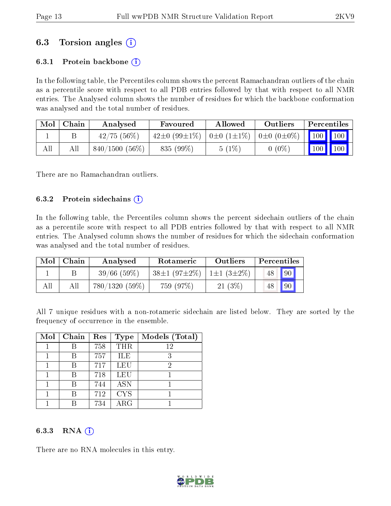# 6.3 Torsion angles (i)

## 6.3.1 Protein backbone  $(i)$

In the following table, the Percentiles column shows the percent Ramachandran outliers of the chain as a percentile score with respect to all PDB entries followed by that with respect to all NMR entries. The Analysed column shows the number of residues for which the backbone conformation was analysed and the total number of residues.

| Mol | Chain | Analysed         | Favoured                | Allowed                              | Outliers | Percentiles     |            |
|-----|-------|------------------|-------------------------|--------------------------------------|----------|-----------------|------------|
|     |       | $42/75$ (56%)    | $42\pm0$ (99 $\pm1\%$ ) | $ 0\pm 0(1\pm 1\%) 0\pm 0(0\pm 0\%)$ |          | $\vert$ 100 100 |            |
| All |       | $840/1500(56\%)$ | $835(99\%)$             | 5(1%)                                | $0(0\%$  | 100             | $100 \mid$ |

There are no Ramachandran outliers.

#### 6.3.2 Protein sidechains  $\hat{I}$

In the following table, the Percentiles column shows the percent sidechain outliers of the chain as a percentile score with respect to all PDB entries followed by that with respect to all NMR entries. The Analysed column shows the number of residues for which the sidechain conformation was analysed and the total number of residues.

| Mol | Chain | Analysed         | Rotameric                              | Outliers | Percentiles |    |
|-----|-------|------------------|----------------------------------------|----------|-------------|----|
|     |       | 39/66(59%)       | $38\pm1(97\pm2\%)$   1 $\pm1(3\pm2\%)$ |          |             | 90 |
| All |       | $780/1320(59\%)$ | 759 (97%)                              | 21(3%)   |             | 90 |

All 7 unique residues with a non-rotameric sidechain are listed below. They are sorted by the frequency of occurrence in the ensemble.

| Mol | Chain | Res | <b>Type</b> | Models (Total) |
|-----|-------|-----|-------------|----------------|
|     |       | 758 | <b>THR</b>  | 12             |
|     | B     | 757 | ILE         | 3              |
|     |       | 717 | LEU         | 2              |
|     |       | 718 | LEU         |                |
|     |       | 744 | <b>ASN</b>  |                |
|     |       | 712 | <b>CYS</b>  |                |
|     |       | 734 | ${\rm ARG}$ |                |

## 6.3.3 RNA  $(i)$

There are no RNA molecules in this entry.

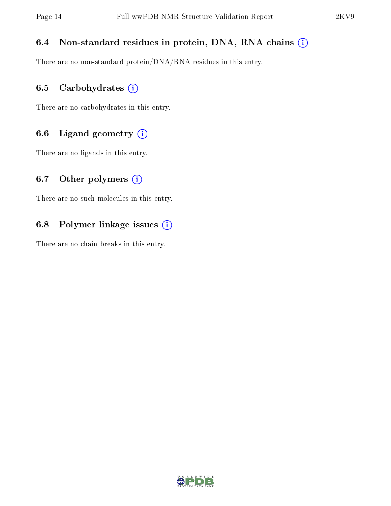# 6.4 Non-standard residues in protein, DNA, RNA chains (i)

There are no non-standard protein/DNA/RNA residues in this entry.

## 6.5 Carbohydrates  $(i)$

There are no carbohydrates in this entry.

## 6.6 Ligand geometry  $(i)$

There are no ligands in this entry.

## 6.7 [O](https://www.wwpdb.org/validation/2017/NMRValidationReportHelp#nonstandard_residues_and_ligands)ther polymers  $(i)$

There are no such molecules in this entry.

## 6.8 Polymer linkage issues  $(i)$

There are no chain breaks in this entry.

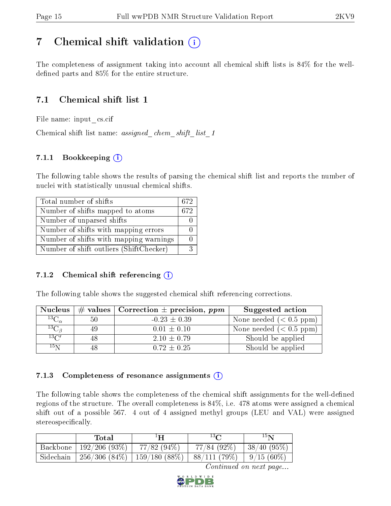# <span id="page-14-0"></span>7 Chemical shift validation  $\left( \begin{array}{c} \overline{1} \end{array} \right)$

The completeness of assignment taking into account all chemical shift lists is 84% for the welldefined parts and  $85\%$  for the entire structure.

# 7.1 Chemical shift list 1

File name: input\_cs.cif

Chemical shift list name: assigned chem shift list 1

# 7.1.1 Bookkeeping (i)

The following table shows the results of parsing the chemical shift list and reports the number of nuclei with statistically unusual chemical shifts.

| Total number of shifts                  | 672 |
|-----------------------------------------|-----|
| Number of shifts mapped to atoms        | 672 |
| Number of unparsed shifts               |     |
| Number of shifts with mapping errors    |     |
| Number of shifts with mapping warnings  |     |
| Number of shift outliers (ShiftChecker) |     |

## 7.1.2 Chemical shift referencing  $(i)$

The following table shows the suggested chemical shift referencing corrections.

| <b>Nucleus</b>      |     | # values   Correction $\pm$ precision, ppm | Suggested action        |
|---------------------|-----|--------------------------------------------|-------------------------|
| ${}^{13}C_{\alpha}$ | 50  | $-0.23 \pm 0.39$                           | None needed $(0.5 ppm)$ |
| ${}^{13}C_{\beta}$  | -49 | $0.01 \pm 0.10$                            | None needed $(0.5 ppm)$ |
| $^{13}$ C'          |     | $2.10 \pm 0.79$                            | Should be applied       |
| $15\,\mathrm{N}$    |     | $0.72 \pm 0.25$                            | Should be applied       |

## 7.1.3 Completeness of resonance assignments  $(i)$

The following table shows the completeness of the chemical shift assignments for the well-defined regions of the structure. The overall completeness is 84%, i.e. 478 atoms were assigned a chemical shift out of a possible 567. 4 out of 4 assigned methyl groups (LEU and VAL) were assigned stereospecifically.

|           | Total                | $1\mathbf{H}$                         | $13\,$ $\cap$              | 15 <sub>N</sub> |
|-----------|----------------------|---------------------------------------|----------------------------|-----------------|
| Backbone  | $^+$ 192/206 (93%) . | $77/82(94\%)$                         | $77/84$ (92\%)             | 38/40(95%)      |
| Sidechain |                      | $256/306$ $(84\%)$   159/180 $(88\%)$ | $ 88/111(79\%) 9/15(60\%)$ |                 |

Continued on next page...

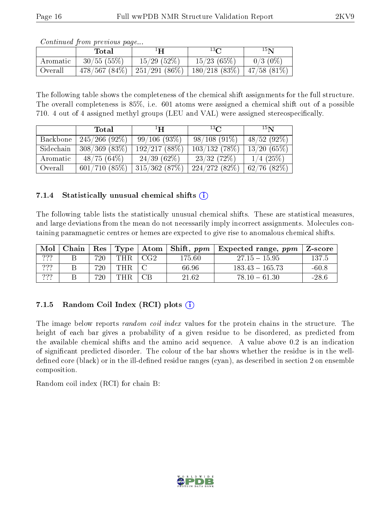| Continued from previous page |            |                  |            |            |  |  |  |
|------------------------------|------------|------------------|------------|------------|--|--|--|
|                              | Total      |                  | 13C        | $15\,$ N   |  |  |  |
| Aromatic                     | 30/55(55%) | $15/29$ $(52\%)$ | 15/23(65%) | $0/3$ (0%) |  |  |  |

Continued from provious page

The following table shows the completeness of the chemical shift assignments for the full structure. The overall completeness is 85%, i.e. 601 atoms were assigned a chemical shift out of a possible 710. 4 out of 4 assigned methyl groups (LEU and VAL) were assigned stereospecifically.

|           | Total              | $\mathbf{H}^{\perp}$ | $^{13}C$       | 15 <sub>N</sub>  |
|-----------|--------------------|----------------------|----------------|------------------|
| Backbone  | $245/266$ (92\%)   | 99/106(93%)          | $98/108(91\%)$ | 48/52(92%)       |
| Sidechain | $308/369$ $(83\%)$ | 192/217(88%)         | 103/132(78%)   | 13/20(65%)       |
| Aromatic  | 48/75(64%)         | $24/39(62\%)$        | 23/32(72%)     | $1/4$ (25%)      |
| Overall   | 601/710(85%)       | 315/362(87%)         | 224/272(82%)   | $62/76$ $(82\%)$ |

Overall  $\left| 478/567 (84\%) \right| 251/291 (86\%) \left| 180/218 (83\%) \right| 47/58 (81\%)$ 

## 7.1.4 Statistically unusual chemical shifts  $(i)$

The following table lists the statistically unusual chemical shifts. These are statistical measures, and large deviations from the mean do not necessarily imply incorrect assignments. Molecules containing paramagnetic centres or hemes are expected to give rise to anomalous chemical shifts.

| Mol             | Chain | $\operatorname{Res}$ |                  |           | $\vert$ Type $\vert$ Atom $\vert$ Shift, ppm $\vert$ | <b>Expected range, ppm</b> | Z-score |
|-----------------|-------|----------------------|------------------|-----------|------------------------------------------------------|----------------------------|---------|
| ???             |       | 720                  | THR <sub>1</sub> | $\pm$ CG2 | 175.60                                               | $27.15 - 15.95$            | 137.5   |
| ???<br>$\cdots$ |       | 720                  | THR              |           | 66.96                                                | $183.43 - 165.73$          | $-60.8$ |
| 222<br>$\cdots$ |       | 720                  | THR              | CB        | 21.62                                                | $78.10 - 61.30$            | $-28.6$ |

# 7.1.5 Random Coil Index  $(RCI)$  plots  $(i)$

The image below reports *random coil index* values for the protein chains in the structure. The height of each bar gives a probability of a given residue to be disordered, as predicted from the available chemical shifts and the amino acid sequence. A value above 0.2 is an indication of signicant predicted disorder. The colour of the bar shows whether the residue is in the welldefined core (black) or in the ill-defined residue ranges (cyan), as described in section 2 on ensemble composition.

Random coil index (RCI) for chain B: